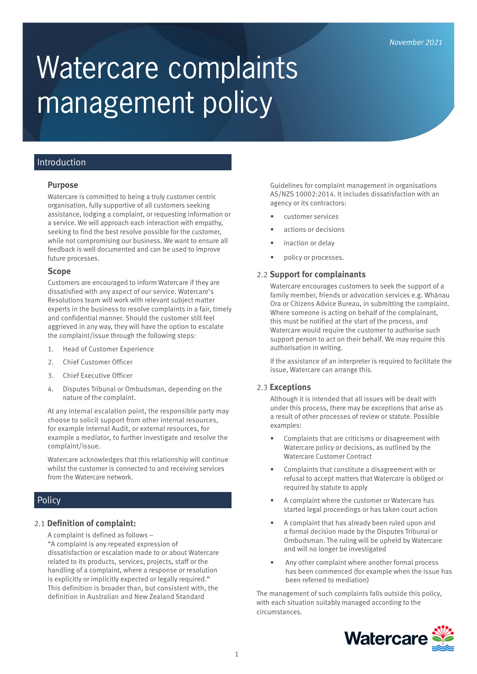# Watercare complaints management policy

## Introduction

#### **Purpose**

Watercare is committed to being a truly customer centric organisation, fully supportive of all customers seeking assistance, lodging a complaint, or requesting information or a service. We will approach each interaction with empathy, seeking to find the best resolve possible for the customer, while not compromising our business. We want to ensure all feedback is well documented and can be used to improve future processes.

#### **Scope**

Customers are encouraged to inform Watercare if they are dissatisfied with any aspect of our service. Watercare's Resolutions team will work with relevant subject matter experts in the business to resolve complaints in a fair, timely and confidential manner. Should the customer still feel aggrieved in any way, they will have the option to escalate the complaint/issue through the following steps:

- 1. Head of Customer Experience
- 2. Chief Customer Officer
- 3. Chief Executive Officer
- 4. Disputes Tribunal or Ombudsman, depending on the nature of the complaint.

At any internal escalation point, the responsible party may choose to solicit support from other internal resources, for example Internal Audit, or external resources, for example a mediator, to further investigate and resolve the complaint/issue.

Watercare acknowledges that this relationship will continue whilst the customer is connected to and receiving services from the Watercare network.

# Policy

## 2.1 **Definition of complaint:**

A complaint is defined as follows –

"A complaint is any repeated expression of dissatisfaction or escalation made to or about Watercare related to its products, services, projects, staff or the handling of a complaint, where a response or resolution is explicitly or implicitly expected or legally required." This definition is broader than, but consistent with, the definition in Australian and New Zealand Standard

Guidelines for complaint management in organisations AS/NZS 10002:2014. It includes dissatisfaction with an agency or its contractors:

- customer services
- actions or decisions
- inaction or delay
- policy or processes.

#### 2.2 **Support for complainants**

Watercare encourages customers to seek the support of a family member, friends or advocation services e.g. Whānau Ora or Citizens Advice Bureau, in submitting the complaint. Where someone is acting on behalf of the complainant, this must be notified at the start of the process, and Watercare would require the customer to authorise such support person to act on their behalf. We may require this authorisation in writing.

If the assistance of an interpreter is required to facilitate the issue, Watercare can arrange this.

## 2.3 **Exceptions**

Although it is intended that all issues will be dealt with under this process, there may be exceptions that arise as a result of other processes of review or statute. Possible examples:

- Complaints that are criticisms or disagreement with Watercare policy or decisions, as outlined by the Watercare Customer Contract
- Complaints that constitute a disagreement with or refusal to accept matters that Watercare is obliged or required by statute to apply
- A complaint where the customer or Watercare has started legal proceedings or has taken court action
- A complaint that has already been ruled upon and a formal decision made by the Disputes Tribunal or Ombudsman. The ruling will be upheld by Watercare and will no longer be investigated
- Any other complaint where another formal process has been commenced (for example when the issue has been referred to mediation)

The management of such complaints falls outside this policy, with each situation suitably managed according to the circumstances.